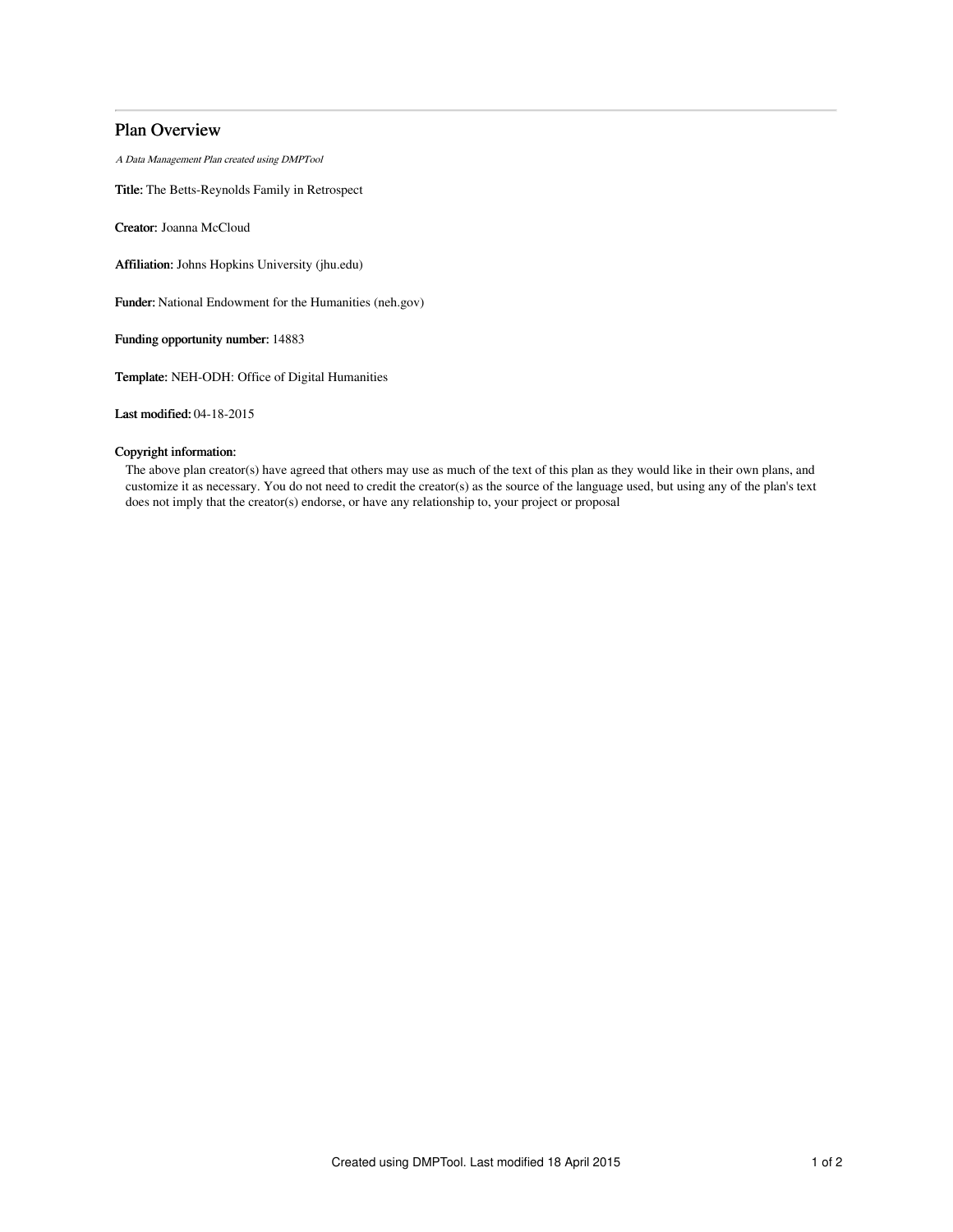# Plan Overview

A Data Management Plan created using DMPTool

Title: The Betts-Reynolds Family in Retrospect

Creator: Joanna McCloud

Affiliation: Johns Hopkins University (jhu.edu)

Funder: National Endowment for the Humanities (neh.gov)

Funding opportunity number: 14883

Template: NEH-ODH: Office of Digital Humanities

Last modified: 04-18-2015

## Copyright information:

The above plan creator(s) have agreed that others may use as much of the text of this plan as they would like in their own plans, and customize it as necessary. You do not need to credit the creator(s) as the source of the language used, but using any of the plan's text does not imply that the creator(s) endorse, or have any relationship to, your project or proposal